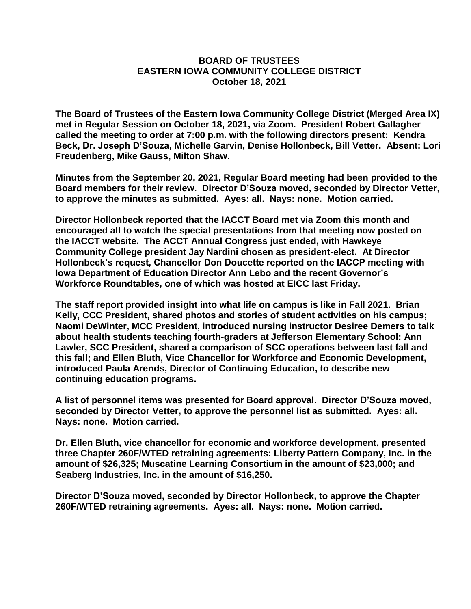## **BOARD OF TRUSTEES EASTERN IOWA COMMUNITY COLLEGE DISTRICT October 18, 2021**

**The Board of Trustees of the Eastern Iowa Community College District (Merged Area IX) met in Regular Session on October 18, 2021, via Zoom. President Robert Gallagher called the meeting to order at 7:00 p.m. with the following directors present: Kendra Beck, Dr. Joseph D'Souza, Michelle Garvin, Denise Hollonbeck, Bill Vetter. Absent: Lori Freudenberg, Mike Gauss, Milton Shaw.**

**Minutes from the September 20, 2021, Regular Board meeting had been provided to the Board members for their review. Director D'Souza moved, seconded by Director Vetter, to approve the minutes as submitted. Ayes: all. Nays: none. Motion carried.**

**Director Hollonbeck reported that the IACCT Board met via Zoom this month and encouraged all to watch the special presentations from that meeting now posted on the IACCT website. The ACCT Annual Congress just ended, with Hawkeye Community College president Jay Nardini chosen as president-elect. At Director Hollonbeck's request, Chancellor Don Doucette reported on the IACCP meeting with Iowa Department of Education Director Ann Lebo and the recent Governor's Workforce Roundtables, one of which was hosted at EICC last Friday.**

**The staff report provided insight into what life on campus is like in Fall 2021. Brian Kelly, CCC President, shared photos and stories of student activities on his campus; Naomi DeWinter, MCC President, introduced nursing instructor Desiree Demers to talk about health students teaching fourth-graders at Jefferson Elementary School; Ann Lawler, SCC President, shared a comparison of SCC operations between last fall and this fall; and Ellen Bluth, Vice Chancellor for Workforce and Economic Development, introduced Paula Arends, Director of Continuing Education, to describe new continuing education programs.**

**A list of personnel items was presented for Board approval. Director D'Souza moved, seconded by Director Vetter, to approve the personnel list as submitted. Ayes: all. Nays: none. Motion carried.**

**Dr. Ellen Bluth, vice chancellor for economic and workforce development, presented three Chapter 260F/WTED retraining agreements: Liberty Pattern Company, Inc. in the amount of \$26,325; Muscatine Learning Consortium in the amount of \$23,000; and Seaberg Industries, Inc. in the amount of \$16,250.**

**Director D'Souza moved, seconded by Director Hollonbeck, to approve the Chapter 260F/WTED retraining agreements. Ayes: all. Nays: none. Motion carried.**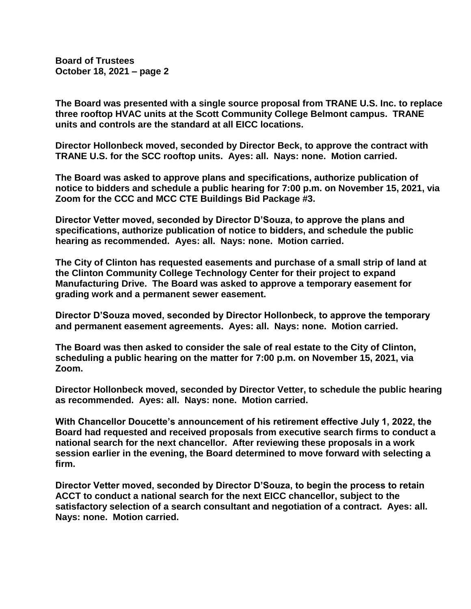**Board of Trustees October 18, 2021 – page 2**

**The Board was presented with a single source proposal from TRANE U.S. Inc. to replace three rooftop HVAC units at the Scott Community College Belmont campus. TRANE units and controls are the standard at all EICC locations.**

**Director Hollonbeck moved, seconded by Director Beck, to approve the contract with TRANE U.S. for the SCC rooftop units. Ayes: all. Nays: none. Motion carried.**

**The Board was asked to approve plans and specifications, authorize publication of notice to bidders and schedule a public hearing for 7:00 p.m. on November 15, 2021, via Zoom for the CCC and MCC CTE Buildings Bid Package #3.**

**Director Vetter moved, seconded by Director D'Souza, to approve the plans and specifications, authorize publication of notice to bidders, and schedule the public hearing as recommended. Ayes: all. Nays: none. Motion carried.**

**The City of Clinton has requested easements and purchase of a small strip of land at the Clinton Community College Technology Center for their project to expand Manufacturing Drive. The Board was asked to approve a temporary easement for grading work and a permanent sewer easement.**

**Director D'Souza moved, seconded by Director Hollonbeck, to approve the temporary and permanent easement agreements. Ayes: all. Nays: none. Motion carried.**

**The Board was then asked to consider the sale of real estate to the City of Clinton, scheduling a public hearing on the matter for 7:00 p.m. on November 15, 2021, via Zoom.**

**Director Hollonbeck moved, seconded by Director Vetter, to schedule the public hearing as recommended. Ayes: all. Nays: none. Motion carried.**

**With Chancellor Doucette's announcement of his retirement effective July 1, 2022, the Board had requested and received proposals from executive search firms to conduct a national search for the next chancellor. After reviewing these proposals in a work session earlier in the evening, the Board determined to move forward with selecting a firm.**

**Director Vetter moved, seconded by Director D'Souza, to begin the process to retain ACCT to conduct a national search for the next EICC chancellor, subject to the satisfactory selection of a search consultant and negotiation of a contract. Ayes: all. Nays: none. Motion carried.**